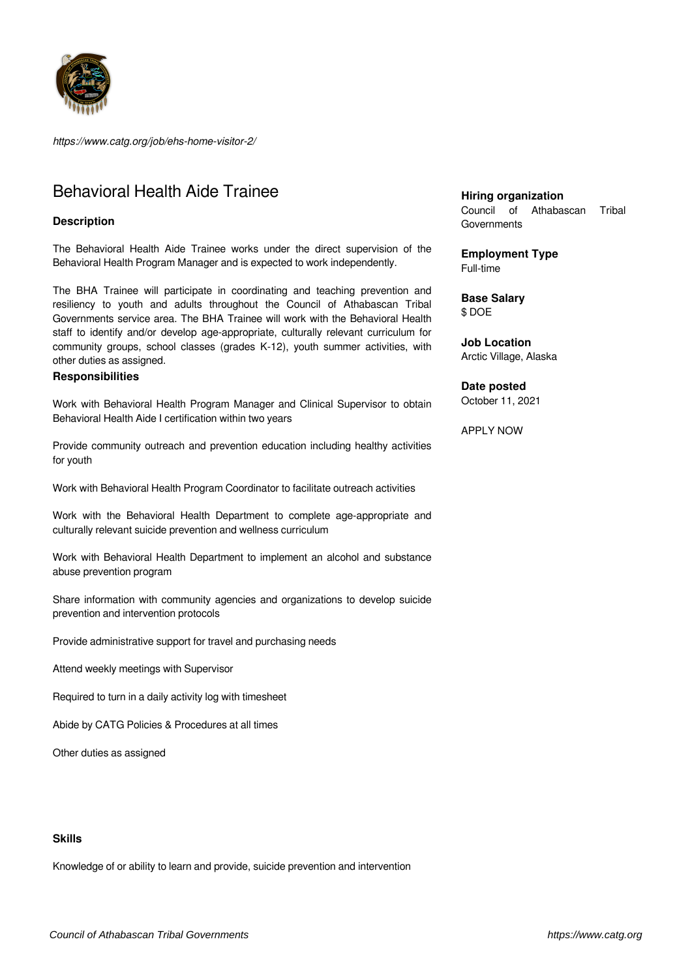

*https://www.catg.org/job/ehs-home-visitor-2/*

# Behavioral Health Aide Trainee

# **Description**

The Behavioral Health Aide Trainee works under the direct supervision of the Behavioral Health Program Manager and is expected to work independently.

The BHA Trainee will participate in coordinating and teaching prevention and resiliency to youth and adults throughout the Council of Athabascan Tribal Governments service area. The BHA Trainee will work with the Behavioral Health staff to identify and/or develop age-appropriate, culturally relevant curriculum for community groups, school classes (grades K-12), youth summer activities, with other duties as assigned.

# **Responsibilities**

Work with Behavioral Health Program Manager and Clinical Supervisor to obtain Behavioral Health Aide I certification within two years

Provide community outreach and prevention education including healthy activities for youth

Work with Behavioral Health Program Coordinator to facilitate outreach activities

Work with the Behavioral Health Department to complete age-appropriate and culturally relevant suicide prevention and wellness curriculum

Work with Behavioral Health Department to implement an alcohol and substance abuse prevention program

Share information with community agencies and organizations to develop suicide prevention and intervention protocols

Provide administrative support for travel and purchasing needs

Attend weekly meetings with Supervisor

Required to turn in a daily activity log with timesheet

Abide by CATG Policies & Procedures at all times

Other duties as assigned

#### **Skills**

Knowledge of or ability to learn and provide, suicide prevention and intervention

**Hiring organization**

Council of Athabascan Tribal **Governments** 

**Employment Type** Full-time

**Base Salary** \$ DOE

**Job Location** Arctic Village, Alaska

**Date posted**

October 11, 2021

APPLY NOW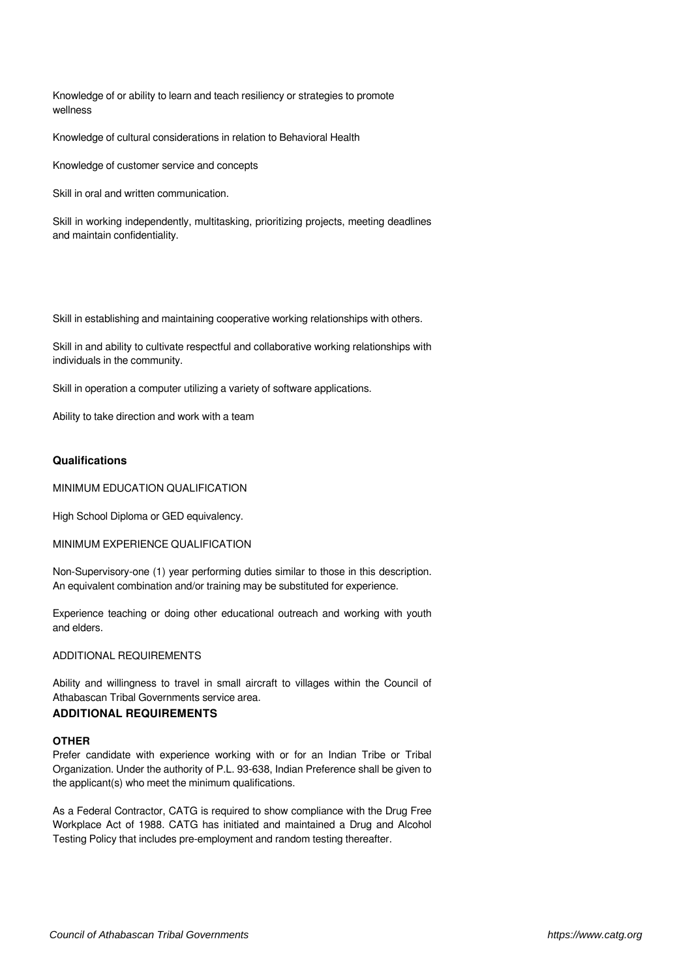Knowledge of or ability to learn and teach resiliency or strategies to promote wellness

Knowledge of cultural considerations in relation to Behavioral Health

Knowledge of customer service and concepts

Skill in oral and written communication.

Skill in working independently, multitasking, prioritizing projects, meeting deadlines and maintain confidentiality.

Skill in establishing and maintaining cooperative working relationships with others.

Skill in and ability to cultivate respectful and collaborative working relationships with individuals in the community.

Skill in operation a computer utilizing a variety of software applications.

Ability to take direction and work with a team

## **Qualifications**

MINIMUM EDUCATION QUALIFICATION

High School Diploma or GED equivalency.

MINIMUM EXPERIENCE QUALIFICATION

Non-Supervisory-one (1) year performing duties similar to those in this description. An equivalent combination and/or training may be substituted for experience.

Experience teaching or doing other educational outreach and working with youth and elders.

ADDITIONAL REQUIREMENTS

Ability and willingness to travel in small aircraft to villages within the Council of Athabascan Tribal Governments service area.

## **ADDITIONAL REQUIREMENTS**

#### **OTHER**

Prefer candidate with experience working with or for an Indian Tribe or Tribal Organization. Under the authority of P.L. 93-638, Indian Preference shall be given to the applicant(s) who meet the minimum qualifications.

As a Federal Contractor, CATG is required to show compliance with the Drug Free Workplace Act of 1988. CATG has initiated and maintained a Drug and Alcohol Testing Policy that includes pre-employment and random testing thereafter.